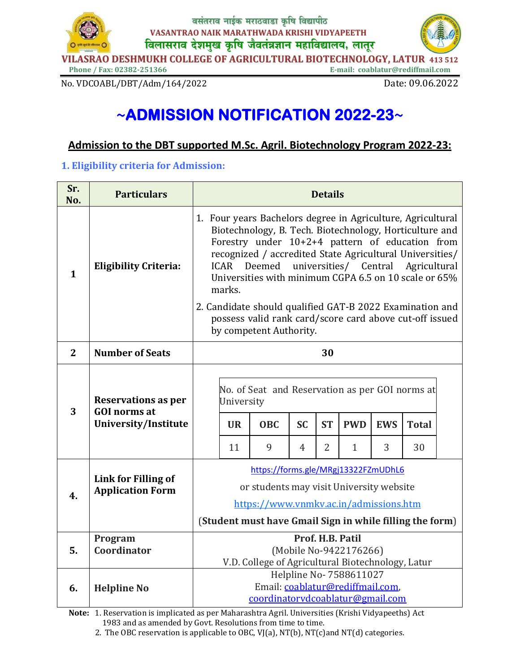

No. VDCOABL/DBT/Adm/164/2022

Date: 09.06.2022

# ~ADMISSION NOTIFICATION 2022-23~

## Admission to the DBT supported M.Sc. Agril. Biotechnology Program 2022-23:

### 1. Eligibility criteria for Admission:

| Sr.<br>No.   | <b>Particulars</b>                                                        | <b>Details</b>                                                                                                                                                                                                                                                                                                                                                                                                         |                               |                                                                    |                |                                                         |                            |                 |                    |  |
|--------------|---------------------------------------------------------------------------|------------------------------------------------------------------------------------------------------------------------------------------------------------------------------------------------------------------------------------------------------------------------------------------------------------------------------------------------------------------------------------------------------------------------|-------------------------------|--------------------------------------------------------------------|----------------|---------------------------------------------------------|----------------------------|-----------------|--------------------|--|
| $\mathbf{1}$ | <b>Eligibility Criteria:</b>                                              | 1. Four years Bachelors degree in Agriculture, Agricultural<br>Biotechnology, B. Tech. Biotechnology, Horticulture and<br>Forestry under 10+2+4 pattern of education from<br>recognized / accredited State Agricultural Universities/<br>ICAR Deemed universities/ Central Agricultural<br>Universities with minimum CGPA 6.5 on 10 scale or 65%<br>marks.<br>2. Candidate should qualified GAT-B 2022 Examination and |                               |                                                                    |                |                                                         |                            |                 |                    |  |
|              |                                                                           |                                                                                                                                                                                                                                                                                                                                                                                                                        |                               | by competent Authority.                                            |                | possess valid rank card/score card above cut-off issued |                            |                 |                    |  |
| $\mathbf{2}$ | <b>Number of Seats</b>                                                    | 30                                                                                                                                                                                                                                                                                                                                                                                                                     |                               |                                                                    |                |                                                         |                            |                 |                    |  |
| 3            | <b>Reservations as per</b><br><b>GOI</b> norms at<br>University/Institute |                                                                                                                                                                                                                                                                                                                                                                                                                        | University<br><b>UR</b><br>11 | No. of Seat and Reservation as per GOI norms at<br><b>OBC</b><br>9 | <b>SC</b><br>4 | <b>ST</b><br>$\overline{2}$                             | <b>PWD</b><br>$\mathbf{1}$ | <b>EWS</b><br>3 | <b>Total</b><br>30 |  |
| 4.           | Link for Filling of<br><b>Application Form</b>                            | https://forms.gle/MRgj13322FZmUDhL6<br>or students may visit University website<br>https://www.vnmkv.ac.in/admissions.htm                                                                                                                                                                                                                                                                                              |                               |                                                                    |                |                                                         |                            |                 |                    |  |
|              | Program                                                                   | (Student must have Gmail Sign in while filling the form)<br>Prof. H.B. Patil                                                                                                                                                                                                                                                                                                                                           |                               |                                                                    |                |                                                         |                            |                 |                    |  |
| 5.           | Coordinator                                                               | (Mobile No-9422176266)<br>V.D. College of Agricultural Biotechnology, Latur                                                                                                                                                                                                                                                                                                                                            |                               |                                                                    |                |                                                         |                            |                 |                    |  |
| 6.           | <b>Helpline No</b>                                                        | Helpline No- 7588611027<br>Email: coablatur@rediffmail.com,<br>coordinatorydcoablatur@gmail.com                                                                                                                                                                                                                                                                                                                        |                               |                                                                    |                |                                                         |                            |                 |                    |  |

Note: 1. Reservation is implicated as per Maharashtra Agril. Universities (Krishi Vidyapeeths) Act 1983 and as amended by Govt. Resolutions from time to time.

2. The OBC reservation is applicable to OBC, VJ(a), NT(b), NT(c)and NT(d) categories.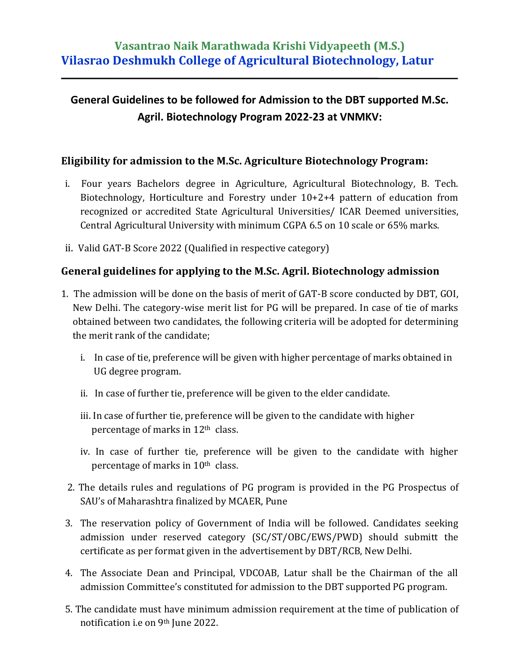# **General Guidelines to be followed for Admission to the DBT supported M.Sc. Agril. Biotechnology Program 2022-23 at VNMKV:**

# **Eligibility for admission to the M.Sc. Agriculture Biotechnology Program:**

- i. Four years Bachelors degree in Agriculture, Agricultural Biotechnology, B. Tech. Biotechnology, Horticulture and Forestry under 10+2+4 pattern of education from recognized or accredited State Agricultural Universities/ ICAR Deemed universities, Central Agricultural University with minimum CGPA 6.5 on 10 scale or 65% marks.
- ii. Valid GAT-B Score 2022 (Qualified in respective category)

### **General guidelines for applying to the M.Sc. Agril. Biotechnology admission**

- 1. The admission will be done on the basis of merit of GAT-B score conducted by DBT, GOI, New Delhi. The category-wise merit list for PG will be prepared. In case of tie of marks obtained between two candidates, the following criteria will be adopted for determining the merit rank of the candidate;
	- i. In case of tie, preference will be given with higher percentage of marks obtained in UG degree program.
	- ii. In case of further tie, preference will be given to the elder candidate.
	- iii. In case of further tie, preference will be given to the candidate with higher percentage of marks in 12th class.
	- iv. In case of further tie, preference will be given to the candidate with higher percentage of marks in 10th class.
	- 2. The details rules and regulations of PG program is provided in the PG Prospectus of SAU's of Maharashtra finalized by MCAER, Pune
- 3. The reservation policy of Government of India will be followed. Candidates seeking admission under reserved category (SC/ST/OBC/EWS/PWD) should submitt the certificate as per format given in the advertisement by DBT/RCB, New Delhi.
- 4. The Associate Dean and Principal, VDCOAB, Latur shall be the Chairman of the all admission Committee's constituted for admission to the DBT supported PG program.
- 5. The candidate must have minimum admission requirement at the time of publication of notification i.e on 9th June 2022.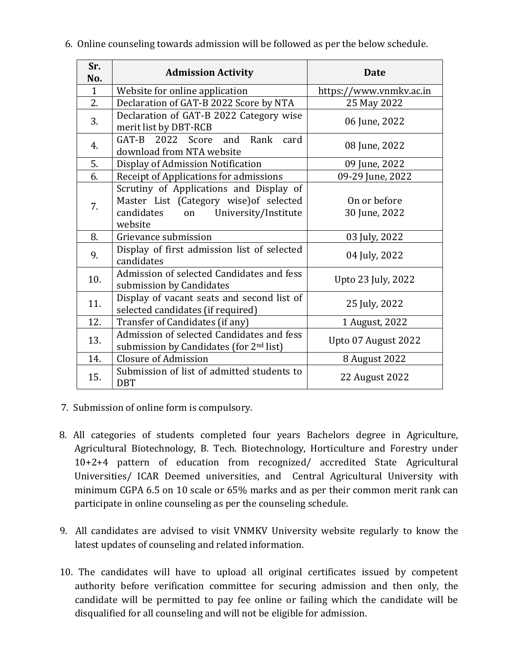| Sr.<br>No.   | <b>Admission Activity</b>                                                                                                                 | <b>Date</b>                   |  |  |  |
|--------------|-------------------------------------------------------------------------------------------------------------------------------------------|-------------------------------|--|--|--|
| $\mathbf{1}$ | Website for online application                                                                                                            | https://www.vnmkv.ac.in       |  |  |  |
| 2.           | Declaration of GAT-B 2022 Score by NTA                                                                                                    | 25 May 2022                   |  |  |  |
| 3.           | Declaration of GAT-B 2022 Category wise<br>merit list by DBT-RCB                                                                          | 06 June, 2022                 |  |  |  |
| 4.           | GAT-B 2022 Score and<br>Rank<br>card<br>download from NTA website                                                                         | 08 June, 2022                 |  |  |  |
| 5.           | Display of Admission Notification                                                                                                         | 09 June, 2022                 |  |  |  |
| 6.           | Receipt of Applications for admissions                                                                                                    | 09-29 June, 2022              |  |  |  |
| 7.           | Scrutiny of Applications and Display of<br>Master List (Category wise) of selected<br>candidates<br>University/Institute<br>on<br>website | On or before<br>30 June, 2022 |  |  |  |
| 8.           | Grievance submission                                                                                                                      | 03 July, 2022                 |  |  |  |
| 9.           | Display of first admission list of selected<br>candidates                                                                                 | 04 July, 2022                 |  |  |  |
| 10.          | Admission of selected Candidates and fess<br>submission by Candidates                                                                     | Upto 23 July, 2022            |  |  |  |
| 11.          | Display of vacant seats and second list of<br>selected candidates (if required)                                                           | 25 July, 2022                 |  |  |  |
| 12.          | Transfer of Candidates (if any)                                                                                                           | 1 August, 2022                |  |  |  |
| 13.          | Admission of selected Candidates and fess<br>submission by Candidates (for 2 <sup>nd</sup> list)                                          | Upto 07 August 2022           |  |  |  |
| 14.          | Closure of Admission                                                                                                                      | 8 August 2022                 |  |  |  |
| 15.          | Submission of list of admitted students to<br><b>DBT</b>                                                                                  | 22 August 2022                |  |  |  |

6. Online counseling towards admission will be followed as per the below schedule.

- 7. Submission of online form is compulsory.
- 8. All categories of students completed four years Bachelors degree in Agriculture, Agricultural Biotechnology, B. Tech. Biotechnology, Horticulture and Forestry under 10+2+4 pattern of education from recognized/ accredited State Agricultural Universities/ ICAR Deemed universities, and Central Agricultural University with minimum CGPA 6.5 on 10 scale or 65% marks and as per their common merit rank can participate in online counseling as per the counseling schedule.
- 9. All candidates are advised to visit VNMKV University website regularly to know the latest updates of counseling and related information.
- 10. The candidates will have to upload all original certificates issued by competent authority before verification committee for securing admission and then only, the candidate will be permitted to pay fee online or failing which the candidate will be disqualified for all counseling and will not be eligible for admission.